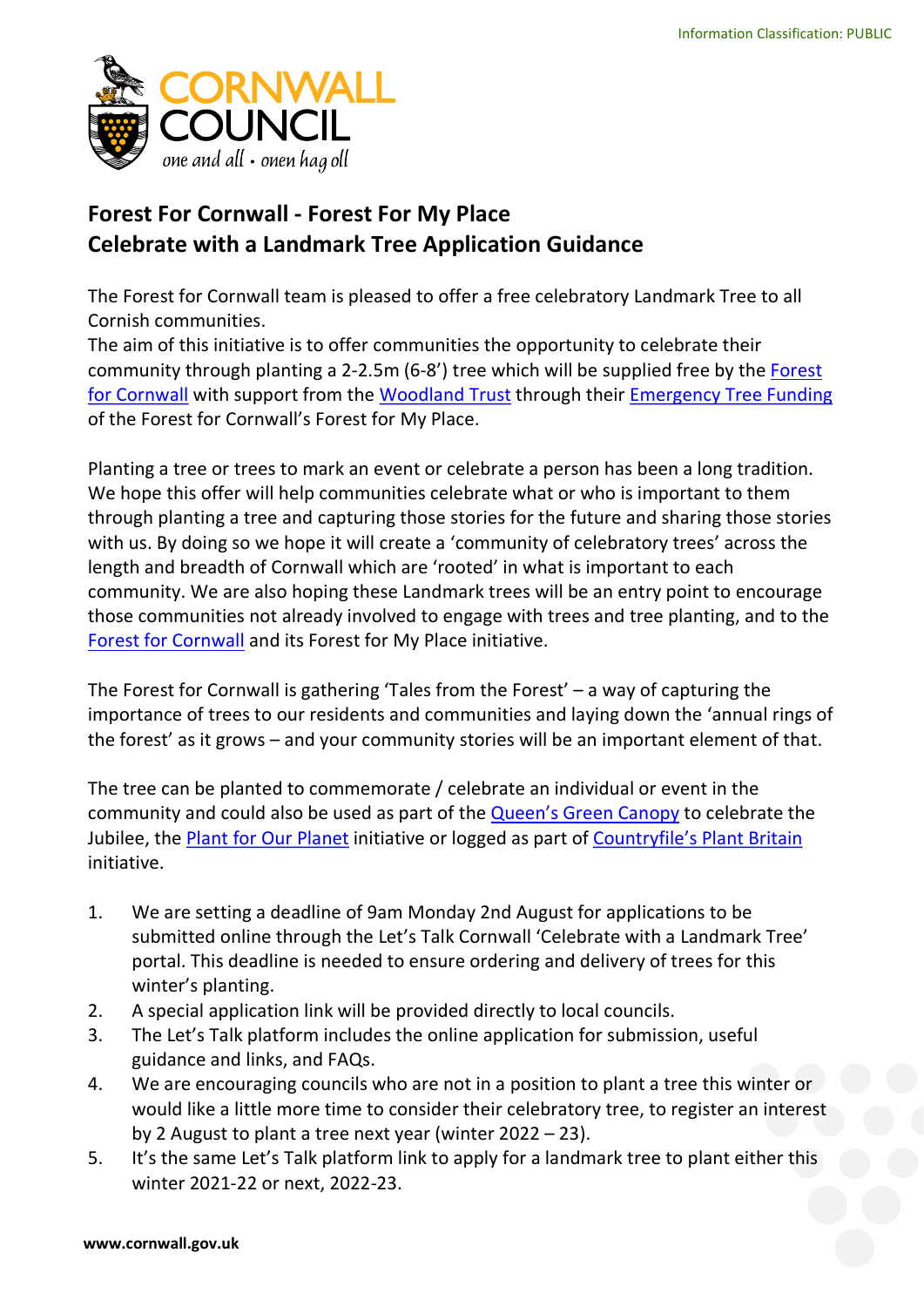

## Forest For Cornwall - Forest For My Place Celebrate with a Landmark Tree Application Guidance

The Forest for Cornwall team is pleased to offer a free celebratory Landmark Tree to all Cornish communities.

The aim of this initiative is to offer communities the opportunity to celebrate their community through planting a 2-2.5m (6-8') tree which will be supplied free by the Forest for Cornwall with support from the Woodland Trust through their Emergency Tree Funding of the Forest for Cornwall's Forest for My Place.

Planting a tree or trees to mark an event or celebrate a person has been a long tradition. We hope this offer will help communities celebrate what or who is important to them through planting a tree and capturing those stories for the future and sharing those stories with us. By doing so we hope it will create a 'community of celebratory trees' across the length and breadth of Cornwall which are 'rooted' in what is important to each community. We are also hoping these Landmark trees will be an entry point to encourage those communities not already involved to engage with trees and tree planting, and to the Forest for Cornwall and its Forest for My Place initiative.

The Forest for Cornwall is gathering 'Tales from the Forest' – a way of capturing the importance of trees to our residents and communities and laying down the 'annual rings of the forest' as it grows – and your community stories will be an important element of that.

The tree can be planted to commemorate / celebrate an individual or event in the community and could also be used as part of the Queen's Green Canopy to celebrate the Jubilee, the Plant for Our Planet initiative or logged as part of Countryfile's Plant Britain initiative.

- 1. We are setting a deadline of 9am Monday 2nd August for applications to be submitted online through the Let's Talk Cornwall 'Celebrate with a Landmark Tree' portal. This deadline is needed to ensure ordering and delivery of trees for this winter's planting.
- 2. A special application link will be provided directly to local councils.
- 3. The Let's Talk platform includes the online application for submission, useful guidance and links, and FAQs.
- 4. We are encouraging councils who are not in a position to plant a tree this winter or would like a little more time to consider their celebratory tree, to register an interest by 2 August to plant a tree next year (winter 2022 – 23).
- 5. It's the same Let's Talk platform link to apply for a landmark tree to plant either this winter 2021-22 or next, 2022-23.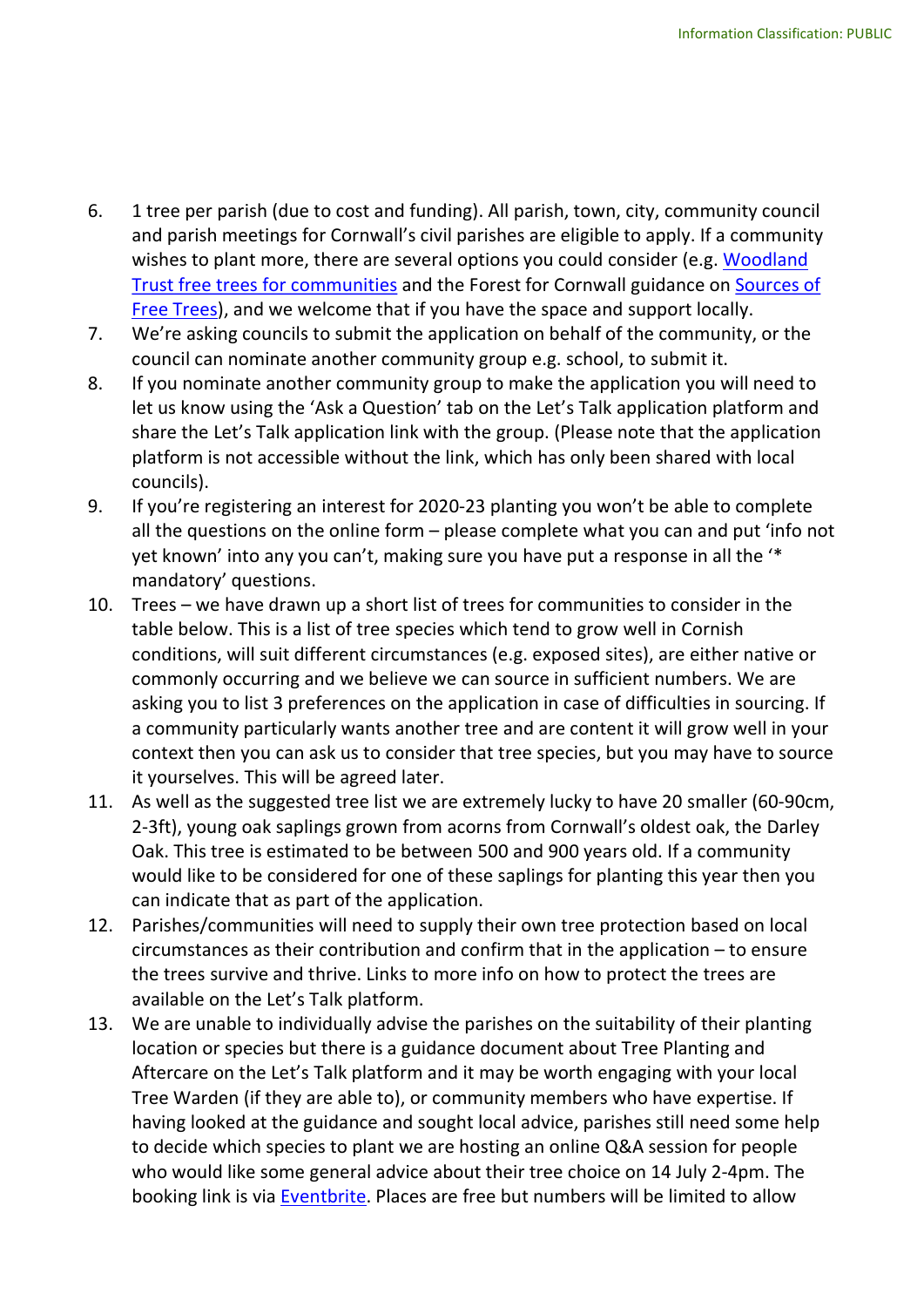- 6. 1 tree per parish (due to cost and funding). All parish, town, city, community council and parish meetings for Cornwall's civil parishes are eligible to apply. If a community wishes to plant more, there are several options you could consider (e.g. Woodland Trust free trees for communities and the Forest for Cornwall guidance on Sources of Free Trees), and we welcome that if you have the space and support locally.
- 7. We're asking councils to submit the application on behalf of the community, or the council can nominate another community group e.g. school, to submit it.
- 8. If you nominate another community group to make the application you will need to let us know using the 'Ask a Question' tab on the Let's Talk application platform and share the Let's Talk application link with the group. (Please note that the application platform is not accessible without the link, which has only been shared with local councils).
- 9. If you're registering an interest for 2020-23 planting you won't be able to complete all the questions on the online form – please complete what you can and put 'info not yet known' into any you can't, making sure you have put a response in all the '\* mandatory' questions.
- 10. Trees we have drawn up a short list of trees for communities to consider in the table below. This is a list of tree species which tend to grow well in Cornish conditions, will suit different circumstances (e.g. exposed sites), are either native or commonly occurring and we believe we can source in sufficient numbers. We are asking you to list 3 preferences on the application in case of difficulties in sourcing. If a community particularly wants another tree and are content it will grow well in your context then you can ask us to consider that tree species, but you may have to source it yourselves. This will be agreed later.
- 11. As well as the suggested tree list we are extremely lucky to have 20 smaller (60-90cm, 2-3ft), young oak saplings grown from acorns from Cornwall's oldest oak, the Darley Oak. This tree is estimated to be between 500 and 900 years old. If a community would like to be considered for one of these saplings for planting this year then you can indicate that as part of the application.
- 12. Parishes/communities will need to supply their own tree protection based on local circumstances as their contribution and confirm that in the application – to ensure the trees survive and thrive. Links to more info on how to protect the trees are available on the Let's Talk platform.
- 13. We are unable to individually advise the parishes on the suitability of their planting location or species but there is a guidance document about Tree Planting and Aftercare on the Let's Talk platform and it may be worth engaging with your local Tree Warden (if they are able to), or community members who have expertise. If having looked at the guidance and sought local advice, parishes still need some help to decide which species to plant we are hosting an online Q&A session for people who would like some general advice about their tree choice on 14 July 2-4pm. The booking link is via Eventbrite. Places are free but numbers will be limited to allow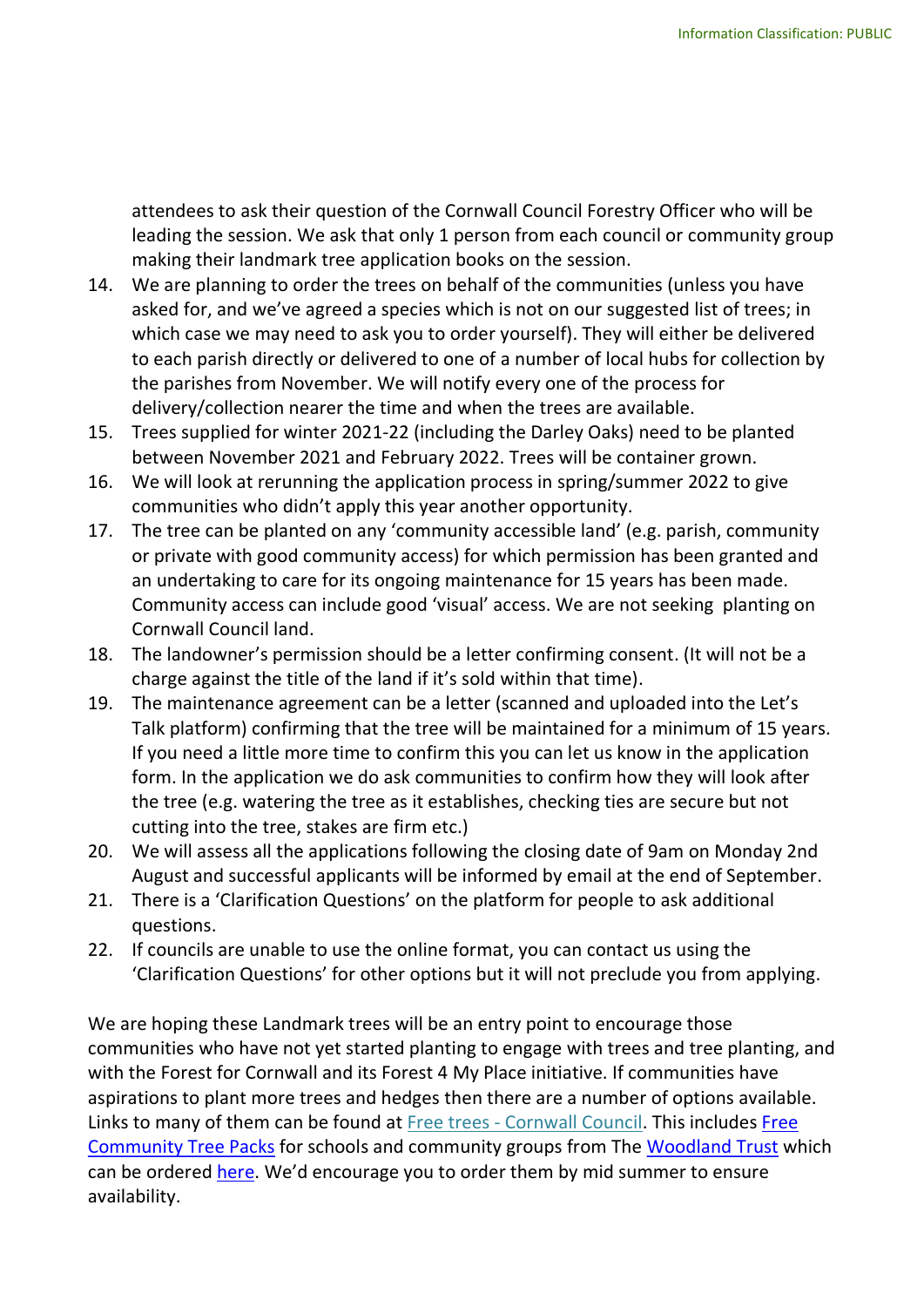attendees to ask their question of the Cornwall Council Forestry Officer who will be leading the session. We ask that only 1 person from each council or community group making their landmark tree application books on the session.

- 14. We are planning to order the trees on behalf of the communities (unless you have asked for, and we've agreed a species which is not on our suggested list of trees; in which case we may need to ask you to order yourself). They will either be delivered to each parish directly or delivered to one of a number of local hubs for collection by the parishes from November. We will notify every one of the process for delivery/collection nearer the time and when the trees are available.
- 15. Trees supplied for winter 2021-22 (including the Darley Oaks) need to be planted between November 2021 and February 2022. Trees will be container grown.
- 16. We will look at rerunning the application process in spring/summer 2022 to give communities who didn't apply this year another opportunity.
- 17. The tree can be planted on any 'community accessible land' (e.g. parish, community or private with good community access) for which permission has been granted and an undertaking to care for its ongoing maintenance for 15 years has been made. Community access can include good 'visual' access. We are not seeking planting on Cornwall Council land.
- 18. The landowner's permission should be a letter confirming consent. (It will not be a charge against the title of the land if it's sold within that time).
- 19. The maintenance agreement can be a letter (scanned and uploaded into the Let's Talk platform) confirming that the tree will be maintained for a minimum of 15 years. If you need a little more time to confirm this you can let us know in the application form. In the application we do ask communities to confirm how they will look after the tree (e.g. watering the tree as it establishes, checking ties are secure but not cutting into the tree, stakes are firm etc.)
- 20. We will assess all the applications following the closing date of 9am on Monday 2nd August and successful applicants will be informed by email at the end of September.
- 21. There is a 'Clarification Questions' on the platform for people to ask additional questions.
- 22. If councils are unable to use the online format, you can contact us using the 'Clarification Questions' for other options but it will not preclude you from applying.

We are hoping these Landmark trees will be an entry point to encourage those communities who have not yet started planting to engage with trees and tree planting, and with the Forest for Cornwall and its Forest 4 My Place initiative. If communities have aspirations to plant more trees and hedges then there are a number of options available. Links to many of them can be found at Free trees - Cornwall Council. This includes Free Community Tree Packs for schools and community groups from The Woodland Trust which can be ordered here. We'd encourage you to order them by mid summer to ensure availability.